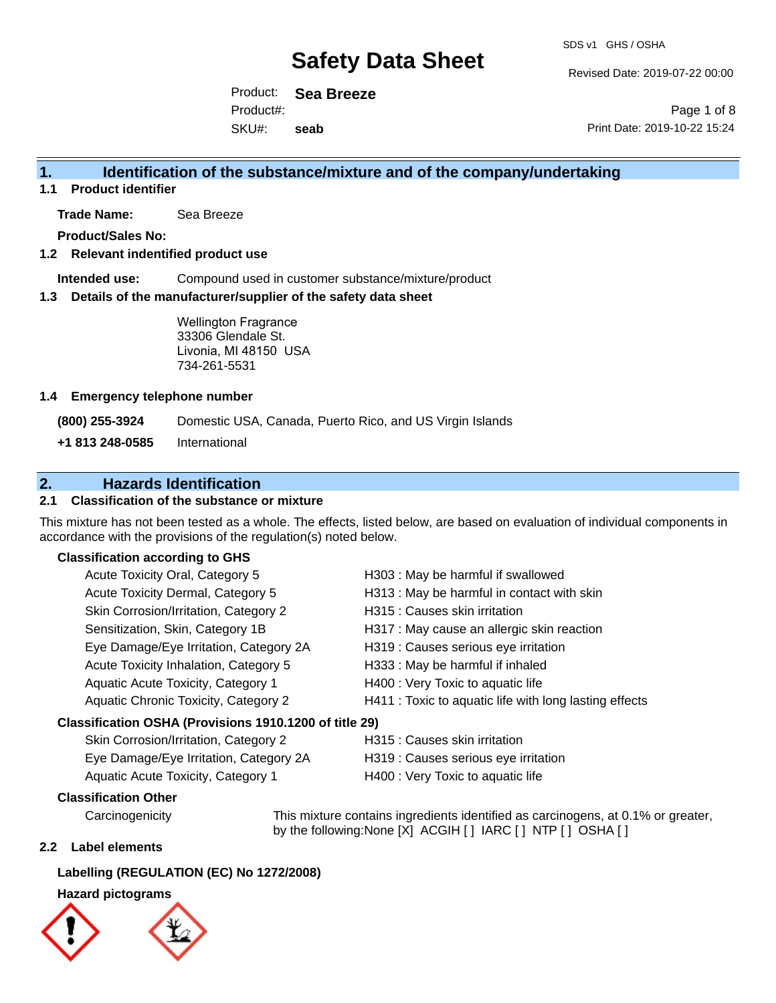Revised Date: 2019-07-22 00:00

Product: **Sea Breeze** SKU#: Product#: **seab**

Page 1 of 8 Print Date: 2019-10-22 15:24

### **1. Identification of the substance/mixture and of the company/undertaking**

**1.1 Product identifier**

**Trade Name:** Sea Breeze

**Product/Sales No:**

#### **1.2 Relevant indentified product use**

**Intended use:** Compound used in customer substance/mixture/product

#### **1.3 Details of the manufacturer/supplier of the safety data sheet**

Wellington Fragrance 33306 Glendale St. Livonia, MI 48150 USA 734-261-5531

#### **1.4 Emergency telephone number**

**(800) 255-3924** Domestic USA, Canada, Puerto Rico, and US Virgin Islands

**+1 813 248-0585** International

### **2. Hazards Identification**

#### **2.1 Classification of the substance or mixture**

This mixture has not been tested as a whole. The effects, listed below, are based on evaluation of individual components in accordance with the provisions of the regulation(s) noted below.

#### **Classification according to GHS**

| Acute Toxicity Oral, Category 5                        | H303 : May be harmful if swallowed                     |
|--------------------------------------------------------|--------------------------------------------------------|
| Acute Toxicity Dermal, Category 5                      | H313 : May be harmful in contact with skin             |
| Skin Corrosion/Irritation, Category 2                  | H315 : Causes skin irritation                          |
| Sensitization, Skin, Category 1B                       | H317 : May cause an allergic skin reaction             |
| Eye Damage/Eye Irritation, Category 2A                 | H319 : Causes serious eye irritation                   |
| Acute Toxicity Inhalation, Category 5                  | H333: May be harmful if inhaled                        |
| Aquatic Acute Toxicity, Category 1                     | H400 : Very Toxic to aquatic life                      |
| Aquatic Chronic Toxicity, Category 2                   | H411 : Toxic to aquatic life with long lasting effects |
| Classification OSHA (Provisions 1910.1200 of title 29) |                                                        |
|                                                        |                                                        |

### Skin Corrosion/Irritation, Category 2 **H315** : Causes skin irritation Eye Damage/Eye Irritation, Category 2A H319 : Causes serious eye irritation

Aquatic Acute Toxicity, Category 1 H400 : Very Toxic to aquatic life

#### **Classification Other**

Carcinogenicity This mixture contains ingredients identified as carcinogens, at 0.1% or greater, by the following:None [X] ACGIH [ ] IARC [ ] NTP [ ] OSHA [ ]

#### **2.2 Label elements**

#### **Labelling (REGULATION (EC) No 1272/2008)**

#### **Hazard pictograms**



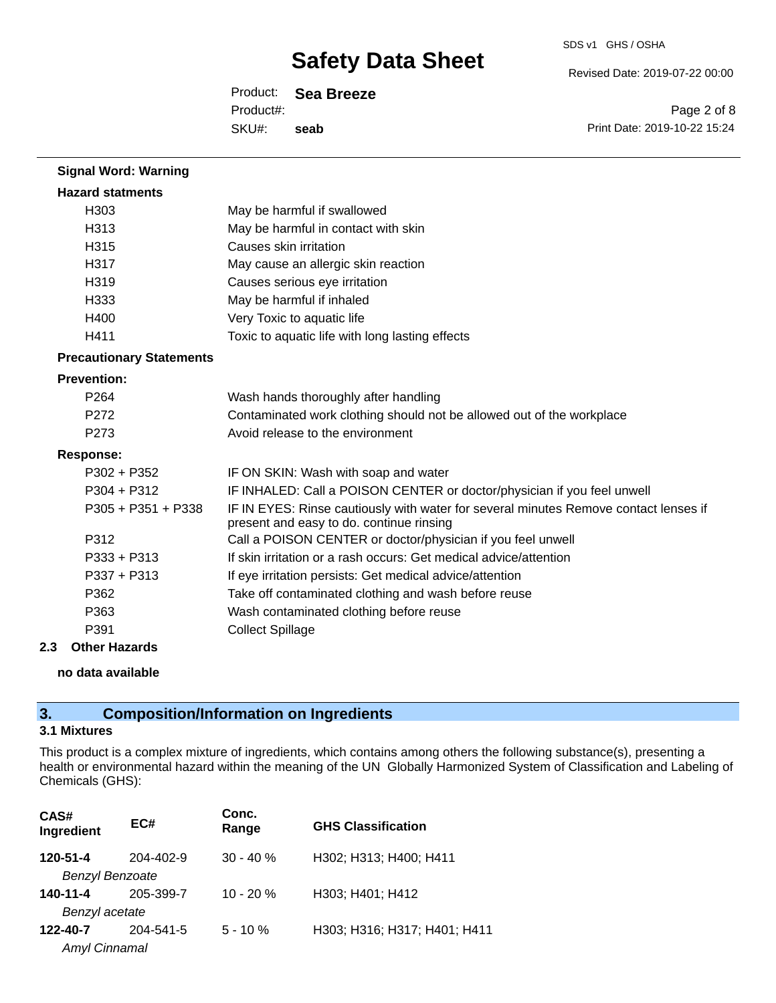Revised Date: 2019-07-22 00:00

Product: **Sea Breeze** SKU#: Product#: **seab**

Page 2 of 8 Print Date: 2019-10-22 15:24

| <b>Signal Word: Warning</b>     |                                                                                                                                  |
|---------------------------------|----------------------------------------------------------------------------------------------------------------------------------|
| <b>Hazard statments</b>         |                                                                                                                                  |
| H303                            | May be harmful if swallowed                                                                                                      |
| H313                            | May be harmful in contact with skin                                                                                              |
| H315                            | Causes skin irritation                                                                                                           |
| H317                            | May cause an allergic skin reaction                                                                                              |
| H319                            | Causes serious eye irritation                                                                                                    |
| H333                            | May be harmful if inhaled                                                                                                        |
| H400                            | Very Toxic to aquatic life                                                                                                       |
| H411                            | Toxic to aquatic life with long lasting effects                                                                                  |
| <b>Precautionary Statements</b> |                                                                                                                                  |
| <b>Prevention:</b>              |                                                                                                                                  |
| P264                            | Wash hands thoroughly after handling                                                                                             |
| P272                            | Contaminated work clothing should not be allowed out of the workplace                                                            |
| P273                            | Avoid release to the environment                                                                                                 |
| <b>Response:</b>                |                                                                                                                                  |
| P302 + P352                     | IF ON SKIN: Wash with soap and water                                                                                             |
| $P304 + P312$                   | IF INHALED: Call a POISON CENTER or doctor/physician if you feel unwell                                                          |
| $P305 + P351 + P338$            | IF IN EYES: Rinse cautiously with water for several minutes Remove contact lenses if<br>present and easy to do. continue rinsing |
| P312                            | Call a POISON CENTER or doctor/physician if you feel unwell                                                                      |
| $P333 + P313$                   | If skin irritation or a rash occurs: Get medical advice/attention                                                                |
| P337 + P313                     | If eye irritation persists: Get medical advice/attention                                                                         |
| P362                            | Take off contaminated clothing and wash before reuse                                                                             |
| P363                            | Wash contaminated clothing before reuse                                                                                          |
| P391                            | <b>Collect Spillage</b>                                                                                                          |

#### **2.3 Other Hazards**

**no data available**

# **3. Composition/Information on Ingredients**

#### **3.1 Mixtures**

This product is a complex mixture of ingredients, which contains among others the following substance(s), presenting a health or environmental hazard within the meaning of the UN Globally Harmonized System of Classification and Labeling of Chemicals (GHS):

| CAS#<br>Ingredient     | EC#       | Conc.<br>Range | <b>GHS Classification</b>    |
|------------------------|-----------|----------------|------------------------------|
| 120-51-4               | 204-402-9 | $30 - 40 \%$   | H302; H313; H400; H411       |
| <b>Benzyl Benzoate</b> |           |                |                              |
| 140-11-4               | 205-399-7 | $10 - 20 %$    | H303; H401; H412             |
| Benzyl acetate         |           |                |                              |
| 122-40-7               | 204-541-5 | $5 - 10 \%$    | H303; H316; H317; H401; H411 |
| <b>Amyl Cinnamal</b>   |           |                |                              |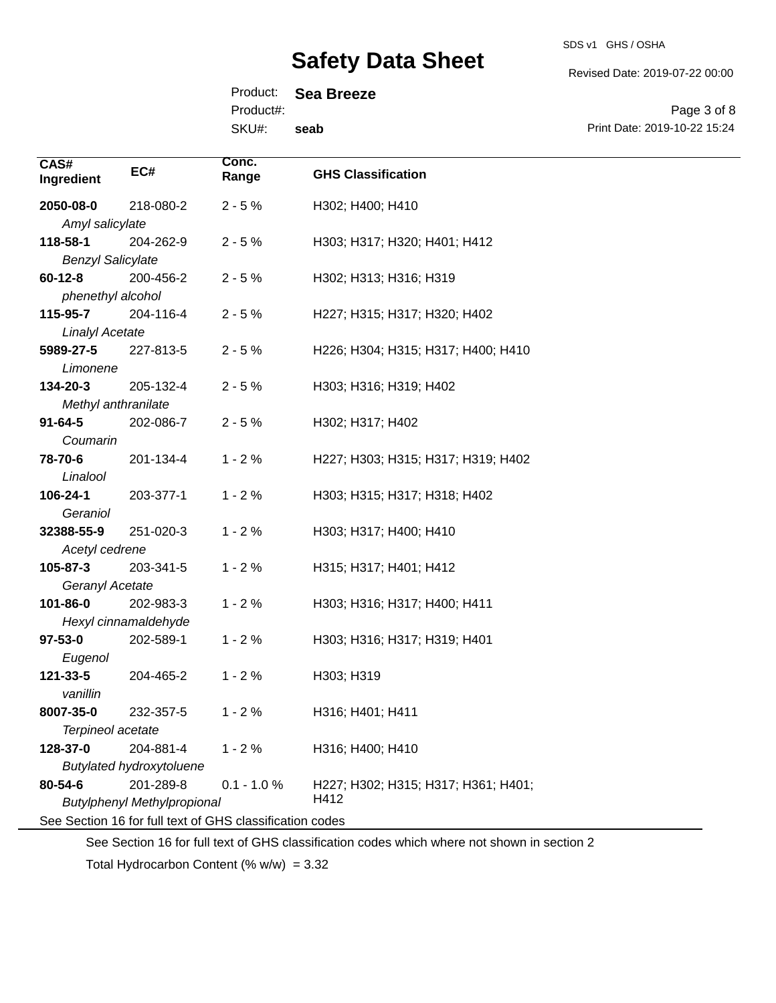Revised Date: 2019-07-22 00:00

Product: **Sea Breeze**

Product#:

SKU#: **seab**

Page 3 of 8 Print Date: 2019-10-22 15:24

| CAS#<br>Ingredient                                                                             | EC#                             | Conc.<br>Range | <b>GHS Classification</b>                   |
|------------------------------------------------------------------------------------------------|---------------------------------|----------------|---------------------------------------------|
| 2050-08-0                                                                                      | 218-080-2                       | $2 - 5%$       | H302; H400; H410                            |
| Amyl salicylate                                                                                |                                 |                |                                             |
| 118-58-1                                                                                       | 204-262-9                       | $2 - 5%$       | H303; H317; H320; H401; H412                |
| <b>Benzyl Salicylate</b>                                                                       |                                 |                |                                             |
| $60 - 12 - 8$                                                                                  | 200-456-2                       | $2 - 5%$       | H302; H313; H316; H319                      |
| phenethyl alcohol                                                                              |                                 |                |                                             |
| 115-95-7                                                                                       | 204-116-4                       | $2 - 5%$       | H227; H315; H317; H320; H402                |
| <b>Linalyl Acetate</b>                                                                         |                                 |                |                                             |
| 5989-27-5                                                                                      | 227-813-5                       | $2 - 5%$       | H226; H304; H315; H317; H400; H410          |
| Limonene                                                                                       |                                 |                |                                             |
| 134-20-3                                                                                       | 205-132-4                       | $2 - 5%$       | H303; H316; H319; H402                      |
| Methyl anthranilate                                                                            |                                 |                |                                             |
| $91 - 64 - 5$                                                                                  | 202-086-7                       | $2 - 5%$       | H302; H317; H402                            |
| Coumarin                                                                                       |                                 |                |                                             |
| 78-70-6                                                                                        | 201-134-4                       | $1 - 2%$       | H227; H303; H315; H317; H319; H402          |
| Linalool                                                                                       |                                 |                |                                             |
| 106-24-1                                                                                       | 203-377-1                       | $1 - 2%$       | H303; H315; H317; H318; H402                |
| Geraniol                                                                                       |                                 |                |                                             |
| 32388-55-9                                                                                     | 251-020-3                       | $1 - 2%$       | H303; H317; H400; H410                      |
| Acetyl cedrene                                                                                 |                                 |                |                                             |
| 105-87-3                                                                                       | 203-341-5                       | $1 - 2%$       | H315; H317; H401; H412                      |
| Geranyl Acetate                                                                                |                                 |                |                                             |
| 101-86-0                                                                                       | 202-983-3                       | $1 - 2%$       | H303; H316; H317; H400; H411                |
|                                                                                                | Hexyl cinnamaldehyde            |                |                                             |
| $97 - 53 - 0$                                                                                  | 202-589-1                       | $1 - 2%$       | H303; H316; H317; H319; H401                |
| Eugenol                                                                                        |                                 |                |                                             |
| 121-33-5                                                                                       | 204-465-2                       | $1 - 2%$       | H303; H319                                  |
| vanillin                                                                                       |                                 |                |                                             |
| 8007-35-0                                                                                      | 232-357-5                       | $1 - 2%$       | H316; H401; H411                            |
| Terpineol acetate                                                                              |                                 |                |                                             |
| 128-37-0                                                                                       | 204-881-4                       | $1 - 2%$       | H316; H400; H410                            |
|                                                                                                | <b>Butylated hydroxytoluene</b> |                |                                             |
| 80-54-6                                                                                        | 201-289-8                       | $0.1 - 1.0 %$  | H227; H302; H315; H317; H361; H401;<br>H412 |
| <b>Butylphenyl Methylpropional</b><br>See Section 16 for full text of GHS classification codes |                                 |                |                                             |
|                                                                                                |                                 |                |                                             |

See Section 16 for full text of GHS classification codes which where not shown in section 2

Total Hydrocarbon Content (%  $w/w$ ) = 3.32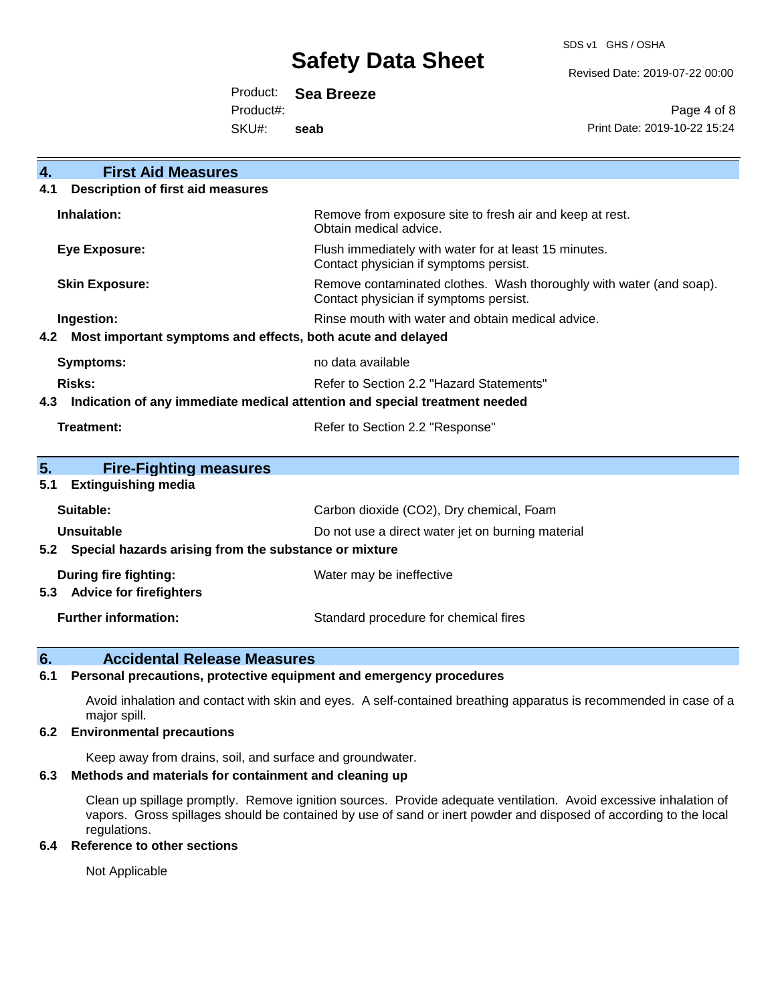SDS v1 GHS / OSHA

Revised Date: 2019-07-22 00:00

Product: **Sea Breeze**

Product#:

SKU#: **seab**

Page 4 of 8 Print Date: 2019-10-22 15:24

| $\overline{4}$ .<br><b>First Aid Measures</b>                                     |                                                                                                               |  |
|-----------------------------------------------------------------------------------|---------------------------------------------------------------------------------------------------------------|--|
| <b>Description of first aid measures</b><br>4.1                                   |                                                                                                               |  |
| Inhalation:                                                                       | Remove from exposure site to fresh air and keep at rest.<br>Obtain medical advice.                            |  |
| <b>Eye Exposure:</b>                                                              | Flush immediately with water for at least 15 minutes.<br>Contact physician if symptoms persist.               |  |
| <b>Skin Exposure:</b>                                                             | Remove contaminated clothes. Wash thoroughly with water (and soap).<br>Contact physician if symptoms persist. |  |
| Ingestion:                                                                        | Rinse mouth with water and obtain medical advice.                                                             |  |
| Most important symptoms and effects, both acute and delayed<br>4.2                |                                                                                                               |  |
| <b>Symptoms:</b>                                                                  | no data available                                                                                             |  |
| Risks:                                                                            | Refer to Section 2.2 "Hazard Statements"                                                                      |  |
| Indication of any immediate medical attention and special treatment needed<br>4.3 |                                                                                                               |  |
| Treatment:                                                                        | Refer to Section 2.2 "Response"                                                                               |  |
| 5.<br><b>Fire-Fighting measures</b>                                               |                                                                                                               |  |
| <b>Extinguishing media</b><br>5.1                                                 |                                                                                                               |  |
| Suitable:                                                                         | Carbon dioxide (CO2), Dry chemical, Foam                                                                      |  |
| <b>Unsuitable</b>                                                                 | Do not use a direct water jet on burning material                                                             |  |
| 5.2 Special hazards arising from the substance or mixture                         |                                                                                                               |  |
| During fire fighting:                                                             | Water may be ineffective                                                                                      |  |
| <b>Advice for firefighters</b><br>5.3                                             |                                                                                                               |  |
| <b>Further information:</b>                                                       | Standard procedure for chemical fires                                                                         |  |

### **6. Accidental Release Measures**

#### **6.1 Personal precautions, protective equipment and emergency procedures**

Avoid inhalation and contact with skin and eyes. A self-contained breathing apparatus is recommended in case of a major spill.

#### **6.2 Environmental precautions**

Keep away from drains, soil, and surface and groundwater.

#### **6.3 Methods and materials for containment and cleaning up**

Clean up spillage promptly. Remove ignition sources. Provide adequate ventilation. Avoid excessive inhalation of vapors. Gross spillages should be contained by use of sand or inert powder and disposed of according to the local regulations.

#### **6.4 Reference to other sections**

Not Applicable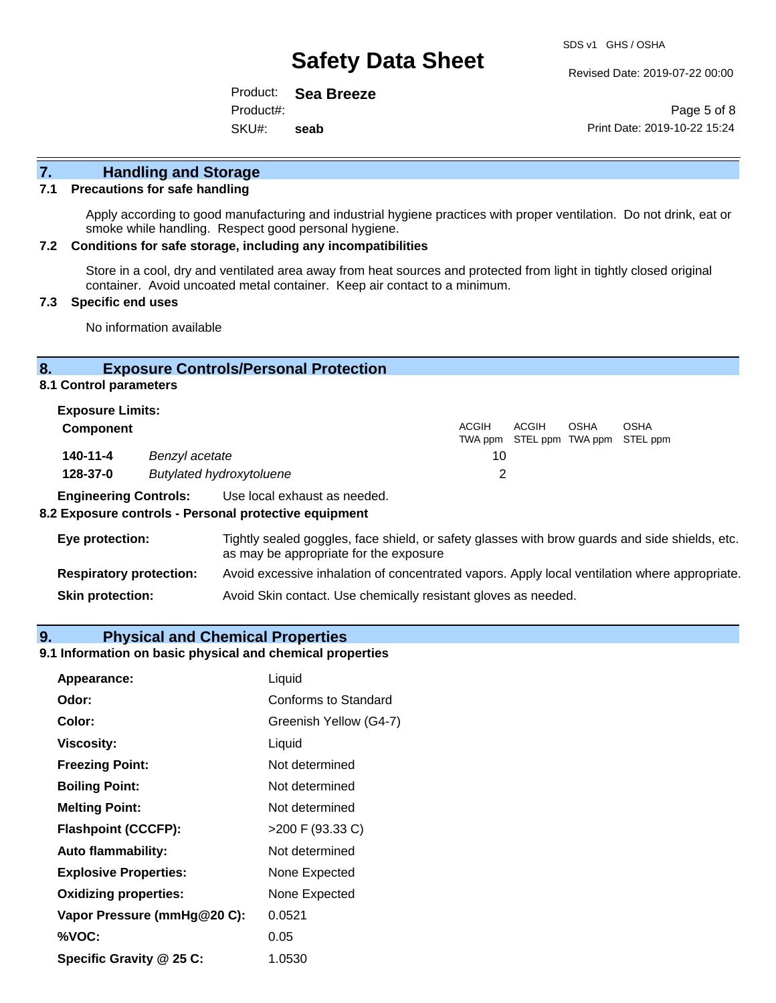Revised Date: 2019-07-22 00:00

Product: **Sea Breeze** SKU#: Product#: **seab**

Page 5 of 8 Print Date: 2019-10-22 15:24

# **7. Handling and Storage**

#### **7.1 Precautions for safe handling**

Apply according to good manufacturing and industrial hygiene practices with proper ventilation. Do not drink, eat or smoke while handling. Respect good personal hygiene.

#### **7.2 Conditions for safe storage, including any incompatibilities**

Store in a cool, dry and ventilated area away from heat sources and protected from light in tightly closed original container. Avoid uncoated metal container. Keep air contact to a minimum.

#### **7.3 Specific end uses**

No information available

#### **8. Exposure Controls/Personal Protection**

**8.1 Control parameters**

| <b>Exposure Limits:</b> |                                 |              |                                            |      |             |  |
|-------------------------|---------------------------------|--------------|--------------------------------------------|------|-------------|--|
| <b>Component</b>        |                                 | <b>ACGIH</b> | ACGIH<br>TWA ppm STEL ppm TWA ppm STEL ppm | OSHA | <b>OSHA</b> |  |
| $140 - 11 - 4$          | Benzyl acetate                  | 10           |                                            |      |             |  |
| 128-37-0                | <b>Butylated hydroxytoluene</b> |              |                                            |      |             |  |

**Engineering Controls:** Use local exhaust as needed.

#### **8.2 Exposure controls - Personal protective equipment**

| Eye protection:                | Tightly sealed goggles, face shield, or safety glasses with brow guards and side shields, etc.<br>as may be appropriate for the exposure |
|--------------------------------|------------------------------------------------------------------------------------------------------------------------------------------|
| <b>Respiratory protection:</b> | Avoid excessive inhalation of concentrated vapors. Apply local ventilation where appropriate.                                            |
| <b>Skin protection:</b>        | Avoid Skin contact. Use chemically resistant gloves as needed.                                                                           |

#### **9. Physical and Chemical Properties**

#### **9.1 Information on basic physical and chemical properties**

| Appearance:                  | Liquid                 |
|------------------------------|------------------------|
| Odor:                        | Conforms to Standard   |
| Color:                       | Greenish Yellow (G4-7) |
| Viscosity:                   | Liquid                 |
| <b>Freezing Point:</b>       | Not determined         |
| <b>Boiling Point:</b>        | Not determined         |
| <b>Melting Point:</b>        | Not determined         |
| <b>Flashpoint (CCCFP):</b>   | >200 F (93.33 C)       |
| <b>Auto flammability:</b>    | Not determined         |
| <b>Explosive Properties:</b> | None Expected          |
| <b>Oxidizing properties:</b> | None Expected          |
| Vapor Pressure (mmHg@20 C):  | 0.0521                 |
| %VOC:                        | 0.05                   |
| Specific Gravity @ 25 C:     | 1.0530                 |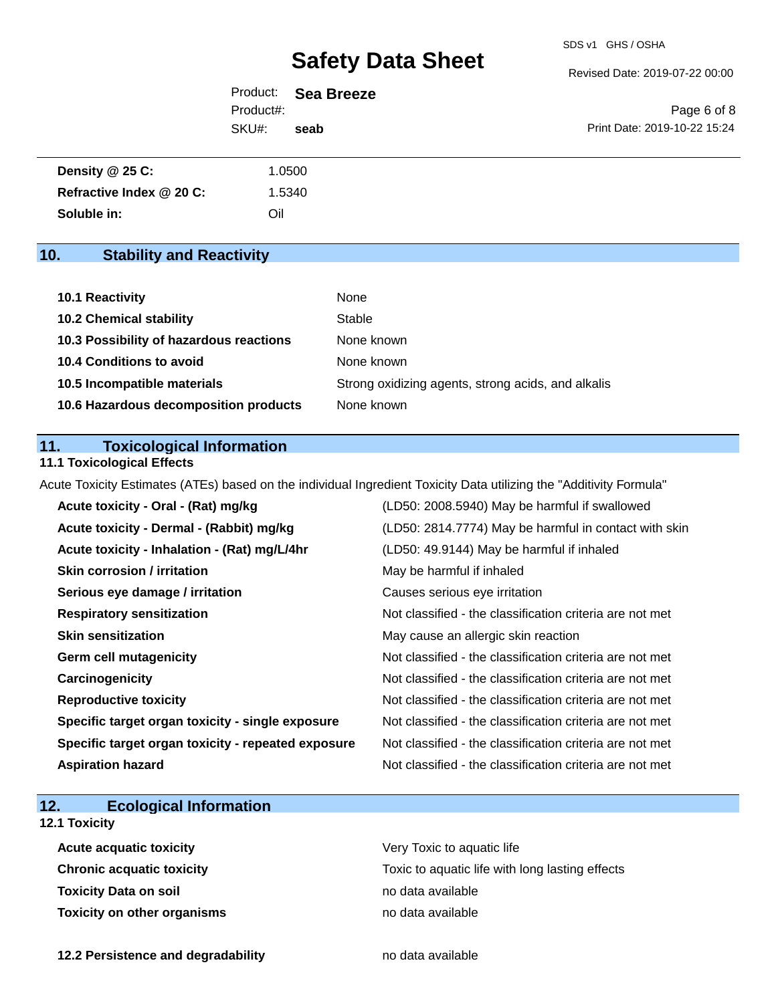Revised Date: 2019-07-22 00:00

Page 6 of 8

Print Date: 2019-10-22 15:24 Product: **Sea Breeze** SKU#: Product#: **seab**

| Density @ 25 C:          | 1.0500 |  |  |
|--------------------------|--------|--|--|
| Refractive Index @ 20 C: | 1.5340 |  |  |
| Soluble in:              | Oil    |  |  |

# **10. Stability and Reactivity**

| 10.1 Reactivity                         | None                                               |
|-----------------------------------------|----------------------------------------------------|
| <b>10.2 Chemical stability</b>          | Stable                                             |
| 10.3 Possibility of hazardous reactions | None known                                         |
| <b>10.4 Conditions to avoid</b>         | None known                                         |
| 10.5 Incompatible materials             | Strong oxidizing agents, strong acids, and alkalis |
| 10.6 Hazardous decomposition products   | None known                                         |

#### **11. Toxicological Information**

#### **11.1 Toxicological Effects**

Acute Toxicity Estimates (ATEs) based on the individual Ingredient Toxicity Data utilizing the "Additivity Formula"

| Acute toxicity - Oral - (Rat) mg/kg                | (LD50: 2008.5940) May be harmful if swallowed            |
|----------------------------------------------------|----------------------------------------------------------|
| Acute toxicity - Dermal - (Rabbit) mg/kg           | (LD50: 2814.7774) May be harmful in contact with skin    |
| Acute toxicity - Inhalation - (Rat) mg/L/4hr       | (LD50: 49.9144) May be harmful if inhaled                |
| <b>Skin corrosion / irritation</b>                 | May be harmful if inhaled                                |
| Serious eye damage / irritation                    | Causes serious eye irritation                            |
| <b>Respiratory sensitization</b>                   | Not classified - the classification criteria are not met |
| <b>Skin sensitization</b>                          | May cause an allergic skin reaction                      |
| <b>Germ cell mutagenicity</b>                      | Not classified - the classification criteria are not met |
| Carcinogenicity                                    | Not classified - the classification criteria are not met |
| <b>Reproductive toxicity</b>                       | Not classified - the classification criteria are not met |
| Specific target organ toxicity - single exposure   | Not classified - the classification criteria are not met |
| Specific target organ toxicity - repeated exposure | Not classified - the classification criteria are not met |
| <b>Aspiration hazard</b>                           | Not classified - the classification criteria are not met |

# **12. Ecological Information**

### **12.1 Toxicity**

| <b>Acute acquatic toxicity</b>   | Very Toxic to aquatic life                      |
|----------------------------------|-------------------------------------------------|
| <b>Chronic acquatic toxicity</b> | Toxic to aquatic life with long lasting effects |
| Toxicity Data on soil            | no data available                               |
| Toxicity on other organisms      | no data available                               |

**12.2 Persistence and degradability no data available**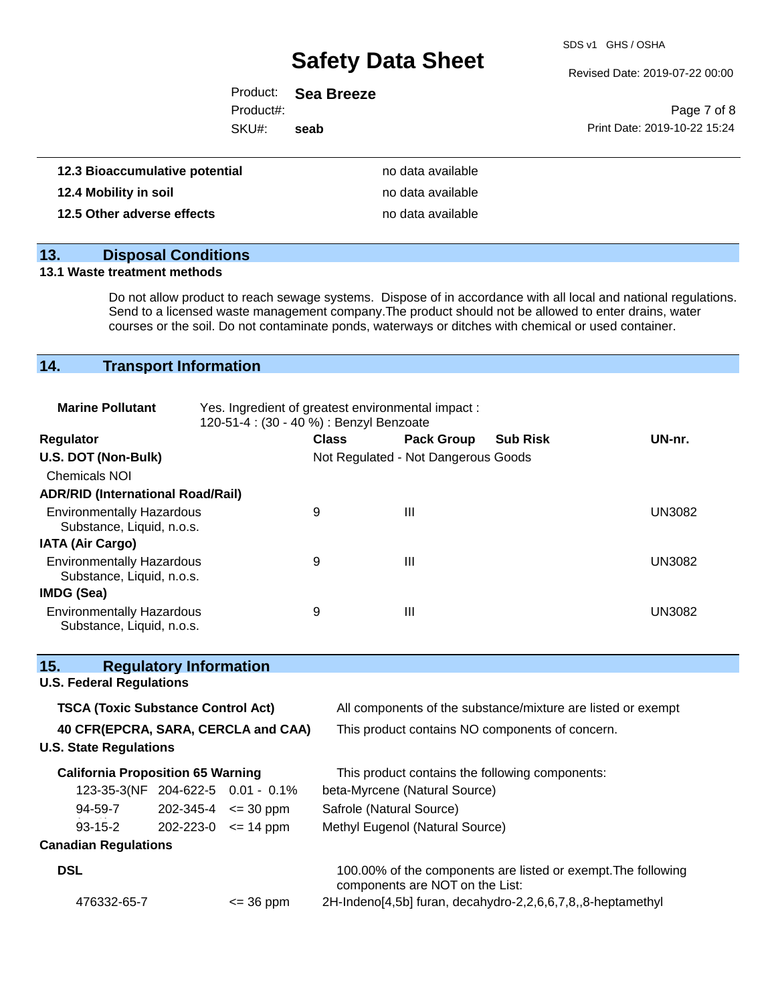SDS v1 GHS / OSHA

Revised Date: 2019-07-22 00:00

|                   | Product: Sea Breeze |                              |
|-------------------|---------------------|------------------------------|
| Product#:         |                     | Page 7 of 8                  |
| SKU#:             | seab                | Print Date: 2019-10-22 15:24 |
|                   |                     |                              |
| ulativa natantial | no doto quoilabla   |                              |

| 12.3 Bioaccumulative potential | no data available |
|--------------------------------|-------------------|
| 12.4 Mobility in soil          | no data available |
| 12.5 Other adverse effects     | no data available |

# **13. Disposal Conditions**

#### **13.1 Waste treatment methods**

Do not allow product to reach sewage systems. Dispose of in accordance with all local and national regulations. Send to a licensed waste management company.The product should not be allowed to enter drains, water courses or the soil. Do not contaminate ponds, waterways or ditches with chemical or used container.

# **14. Transport Information**

| <b>Marine Pollutant</b>                                       | Yes. Ingredient of greatest environmental impact:<br>120-51-4 : (30 - 40 %) : Benzyl Benzoate |              |                                     |                 |        |
|---------------------------------------------------------------|-----------------------------------------------------------------------------------------------|--------------|-------------------------------------|-----------------|--------|
| <b>Regulator</b>                                              |                                                                                               | <b>Class</b> | <b>Pack Group</b>                   | <b>Sub Risk</b> | UN-nr. |
| U.S. DOT (Non-Bulk)                                           |                                                                                               |              | Not Regulated - Not Dangerous Goods |                 |        |
| <b>Chemicals NOI</b>                                          |                                                                                               |              |                                     |                 |        |
| <b>ADR/RID (International Road/Rail)</b>                      |                                                                                               |              |                                     |                 |        |
| <b>Environmentally Hazardous</b><br>Substance, Liquid, n.o.s. |                                                                                               | 9            | Ш                                   |                 | UN3082 |
| <b>IATA (Air Cargo)</b>                                       |                                                                                               |              |                                     |                 |        |
| <b>Environmentally Hazardous</b><br>Substance, Liquid, n.o.s. |                                                                                               | 9            | Ш                                   |                 | UN3082 |
| IMDG (Sea)                                                    |                                                                                               |              |                                     |                 |        |
| <b>Environmentally Hazardous</b><br>Substance, Liquid, n.o.s. |                                                                                               | 9            | Ш                                   |                 | UN3082 |

| 15.<br><b>Regulatory Information</b>      |                                     |               |                                                                                                  |  |  |
|-------------------------------------------|-------------------------------------|---------------|--------------------------------------------------------------------------------------------------|--|--|
| <b>U.S. Federal Regulations</b>           |                                     |               |                                                                                                  |  |  |
| <b>TSCA (Toxic Substance Control Act)</b> |                                     |               | All components of the substance/mixture are listed or exempt                                     |  |  |
| 40 CFR(EPCRA, SARA, CERCLA and CAA)       |                                     |               | This product contains NO components of concern.                                                  |  |  |
| <b>U.S. State Regulations</b>             |                                     |               |                                                                                                  |  |  |
| <b>California Proposition 65 Warning</b>  |                                     |               | This product contains the following components:                                                  |  |  |
| 123-35-3(NF 204-622-5 0.01 - 0.1%         |                                     |               | beta-Myrcene (Natural Source)                                                                    |  |  |
| 94-59-7                                   | $202 - 345 - 4 \le 30$ ppm          |               | Safrole (Natural Source)                                                                         |  |  |
| $93 - 15 - 2$                             | $202 - 223 - 0 \leq 14 \text{ ppm}$ |               | Methyl Eugenol (Natural Source)                                                                  |  |  |
| <b>Canadian Regulations</b>               |                                     |               |                                                                                                  |  |  |
| <b>DSL</b>                                |                                     |               | 100.00% of the components are listed or exempt. The following<br>components are NOT on the List: |  |  |
| 476332-65-7                               |                                     | $\leq$ 36 ppm | 2H-Indeno[4,5b] furan, decahydro-2,2,6,6,7,8,,8-heptamethyl                                      |  |  |
|                                           |                                     |               |                                                                                                  |  |  |